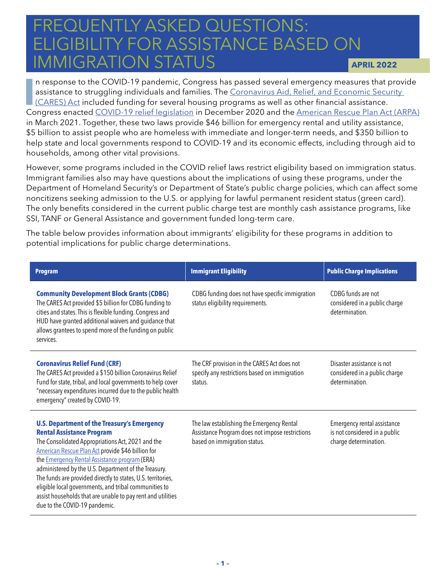## FREQUENTLY ASKED QUESTIONS:<br>FLICIPILITY FOR ASSISTANCE BASE ELIUIDILITT FÜR ASSIS<br>IMMIGRATION STATITS **GIBILITY FOR ASSISTANCE BASED ON** IMMIGRATION STATUS **APRIL 2022**

III is a response to the COVID-19 pandemic, Congress has passed several emergency measures that provide<br>assistance to struggling individuals and families. The <u>Coronavirus Aid, Relief, and Economic Security</u><br>(CARES) Act in n response to the COVID-19 pandemic, Congress has passed several emergency measures that provide assistance to struggling individuals and families. The [Coronavirus Aid, Relief, and Economic Security](https://nlihc.org/resource/congressional-leaders-agree-coronavirus-response-package-funding-homelessness-and-housing)  [\(CARES\) Act](https://nlihc.org/resource/congressional-leaders-agree-coronavirus-response-package-funding-homelessness-and-housing) included funding for several housing programs as well as other financial assistance. in March 2021. Together, these two laws provide \$46 billion for emergency rental and utility assistance, \$5 billion to assist people who are homeless with immediate and longer-term needs, and \$350 billion to help state and local governments respond to COVID-19 and its economic effects, including through aid to households, among other vital provisions.

However, some programs included in the COVID relief laws restrict eligibility based on immigration status. Immigrant families also may have questions about the implications of using these programs, under the Department of Homeland Security's or Department of State's public charge policies, which can affect some noncitizens seeking admission to the U.S. or applying for lawful permanent resident status (green card). The only benefits considered in the current public charge test are monthly cash assistance programs, like SSI, TANF or General Assistance and government funded long-term care.

The table below provides information about immigrants' eligibility for these programs in addition to potential implications for public charge determinations.

| <b>Program</b>                                                                                                                                                                                                                                                                                                                                                                                                                                                                                                                            | <b>Immigrant Eligibility</b>                                                                                                 | <b>Public Charge Implications</b>                                                     |
|-------------------------------------------------------------------------------------------------------------------------------------------------------------------------------------------------------------------------------------------------------------------------------------------------------------------------------------------------------------------------------------------------------------------------------------------------------------------------------------------------------------------------------------------|------------------------------------------------------------------------------------------------------------------------------|---------------------------------------------------------------------------------------|
| <b>Community Development Block Grants (CDBG)</b><br>The CARES Act provided \$5 billion for CDBG funding to<br>cities and states. This is flexible funding. Congress and<br>HUD have granted additional waivers and guidance that<br>allows grantees to spend more of the funding on public<br>services.                                                                                                                                                                                                                                   | CDBG funding does not have specific immigration<br>status eligibility requirements.                                          | CDBG funds are not<br>considered in a public charge<br>determination.                 |
| <b>Coronavirus Relief Fund (CRF)</b><br>The CARES Act provided a \$150 billion Coronavirus Relief<br>Fund for state, tribal, and local governments to help cover<br>"necessary expenditures incurred due to the public health<br>emergency" created by COVID-19.                                                                                                                                                                                                                                                                          | The CRF provision in the CARES Act does not<br>specify any restrictions based on immigration<br>status.                      | Disaster assistance is not<br>considered in a public charge<br>determination.         |
| <b>U.S. Department of the Treasury's Emergency</b><br><b>Rental Assistance Program</b><br>The Consolidated Appropriations Act, 2021 and the<br>American Rescue Plan Act provide \$46 billion for<br>the <b>Emergency Rental Assistance program</b> (ERA)<br>administered by the U.S. Department of the Treasury.<br>The funds are provided directly to states, U.S. territories,<br>eligible local governments, and tribal communities to<br>assist households that are unable to pay rent and utilities<br>due to the COVID-19 pandemic. | The law establishing the Emergency Rental<br>Assistance Program does not impose restrictions<br>based on immigration status. | Emergency rental assistance<br>is not considered in a public<br>charge determination. |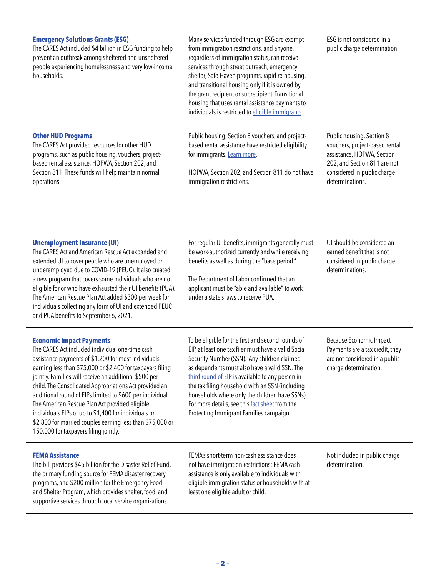| <b>Emergency Solutions Grants (ESG)</b><br>The CARES Act included \$4 billion in ESG funding to help<br>prevent an outbreak among sheltered and unsheltered<br>people experiencing homelessness and very low-income<br>households.                                                                                                                                                                                                                                                                                                                                                                       | Many services funded through ESG are exempt<br>from immigration restrictions, and anyone,<br>regardless of immigration status, can receive<br>services through street outreach, emergency<br>shelter, Safe Haven programs, rapid re-housing,<br>and transitional housing only if it is owned by<br>the grant recipient or subrecipient. Transitional<br>housing that uses rental assistance payments to<br>individuals is restricted to eligible immigrants.   | ESG is not considered in a<br>public charge determination.                                                                                                                  |
|----------------------------------------------------------------------------------------------------------------------------------------------------------------------------------------------------------------------------------------------------------------------------------------------------------------------------------------------------------------------------------------------------------------------------------------------------------------------------------------------------------------------------------------------------------------------------------------------------------|----------------------------------------------------------------------------------------------------------------------------------------------------------------------------------------------------------------------------------------------------------------------------------------------------------------------------------------------------------------------------------------------------------------------------------------------------------------|-----------------------------------------------------------------------------------------------------------------------------------------------------------------------------|
| <b>Other HUD Programs</b><br>The CARES Act provided resources for other HUD<br>programs, such as public housing, vouchers, project-<br>based rental assistance, HOPWA, Section 202, and<br>Section 811. These funds will help maintain normal<br>operations.                                                                                                                                                                                                                                                                                                                                             | Public housing, Section 8 vouchers, and project-<br>based rental assistance have restricted eligibility<br>for immigrants. Learn more.<br>HOPWA, Section 202, and Section 811 do not have<br>immigration restrictions.                                                                                                                                                                                                                                         | Public housing, Section 8<br>vouchers, project-based rental<br>assistance, HOPWA, Section<br>202, and Section 811 are not<br>considered in public charge<br>determinations. |
| <b>Unemployment Insurance (UI)</b><br>The CARES Act and American Rescue Act expanded and<br>extended UI to cover people who are unemployed or<br>underemployed due to COVID-19 (PEUC). It also created<br>a new program that covers some individuals who are not<br>eligible for or who have exhausted their UI benefits (PUA).<br>The American Rescue Plan Act added \$300 per week for<br>individuals collecting any form of UI and extended PEUC<br>and PUA benefits to September 6, 2021.                                                                                                            | For regular UI benefits, immigrants generally must<br>be work-authorized currently and while receiving<br>benefits as well as during the "base period."<br>The Department of Labor confirmed that an<br>applicant must be "able and available" to work<br>under a state's laws to receive PUA.                                                                                                                                                                 | UI should be considered an<br>earned benefit that is not<br>considered in public charge<br>determinations.                                                                  |
| <b>Economic Impact Payments</b><br>The CARES Act included individual one-time cash<br>assistance payments of \$1,200 for most individuals<br>earning less than \$75,000 or \$2,400 for taxpayers filing<br>jointly. Families will receive an additional \$500 per<br>child. The Consolidated Appropriations Act provided an<br>additional round of EIPs limited to \$600 per individual.<br>The American Rescue Plan Act provided eligible<br>individuals EIPs of up to \$1,400 for individuals or<br>\$2,800 for married couples earning less than \$75,000 or<br>150,000 for taxpayers filing jointly. | To be eligible for the first and second rounds of<br>EIP, at least one tax filer must have a valid Social<br>Security Number (SSN). Any children claimed<br>as dependents must also have a valid SSN. The<br>third round of EIP is available to any person in<br>the tax filing household with an SSN (including<br>households where only the children have SSNs).<br>For more details, see this fact sheet from the<br>Protecting Immigrant Families campaign | Because Economic Impact<br>Payments are a tax credit, they<br>are not considered in a public<br>charge determination.                                                       |
| <b>FEMA Assistance</b><br>The bill provides \$45 billion for the Disaster Relief Fund,<br>the primary funding source for FEMA disaster recovery<br>programs, and \$200 million for the Emergency Food<br>and Shelter Program, which provides shelter, food, and<br>supportive services through local service organizations.                                                                                                                                                                                                                                                                              | FEMA's short-term non-cash assistance does<br>not have immigration restrictions; FEMA cash<br>assistance is only available to individuals with<br>eligible immigration status or households with at<br>least one eligible adult or child.                                                                                                                                                                                                                      | Not included in public charge<br>determination.                                                                                                                             |